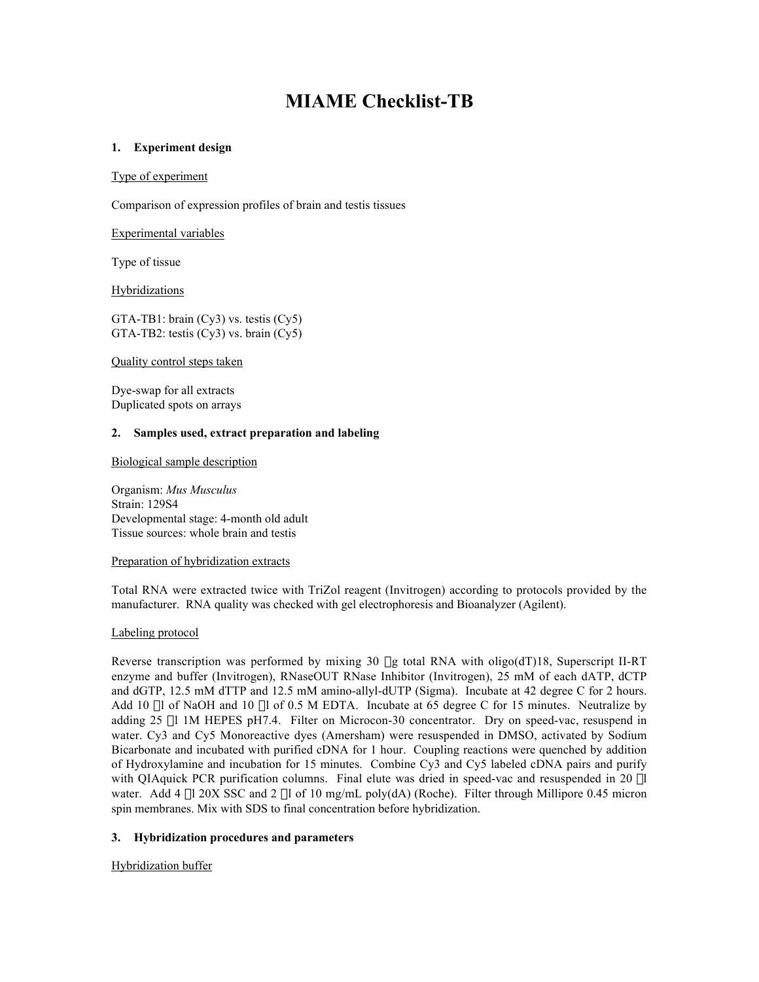# **MIAME Checklist-TB**

# **1. Experiment design**

## Type of experiment

Comparison of expression profiles of brain and testis tissues

## Experimental variables

Type of tissue

Hybridizations

GTA-TB1: brain (Cy3) vs. testis (Cy5) GTA-TB2: testis (Cy3) vs. brain (Cy5)

Quality control steps taken

Dye-swap for all extracts Duplicated spots on arrays

## **2. Samples used, extract preparation and labeling**

Biological sample description

Organism: *Mus Musculus* Strain: 129S4 Developmental stage: 4-month old adult Tissue sources: whole brain and testis

#### Preparation of hybridization extracts

Total RNA were extracted twice with TriZol reagent (Invitrogen) according to protocols provided by the manufacturer. RNA quality was checked with gel electrophoresis and Bioanalyzer (Agilent).

# Labeling protocol

Reverse transcription was performed by mixing 30 µg total RNA with oligo(dT)18, Superscript II-RT enzyme and buffer (Invitrogen), RNaseOUT RNase Inhibitor (Invitrogen), 25 mM of each dATP, dCTP and dGTP, 12.5 mM dTTP and 12.5 mM amino-allyl-dUTP (Sigma). Incubate at 42 degree C for 2 hours. Add 10  $\mu$ l of NaOH and 10  $\mu$ l of 0.5 M EDTA. Incubate at 65 degree C for 15 minutes. Neutralize by adding 25 µl 1M HEPES pH7.4. Filter on Microcon-30 concentrator. Dry on speed-vac, resuspend in water. Cy3 and Cy5 Monoreactive dyes (Amersham) were resuspended in DMSO, activated by Sodium Bicarbonate and incubated with purified cDNA for 1 hour. Coupling reactions were quenched by addition of Hydroxylamine and incubation for 15 minutes. Combine Cy3 and Cy5 labeled cDNA pairs and purify with QIAquick PCR purification columns. Final elute was dried in speed-vac and resuspended in 20 µl water. Add 4  $\mu$ l 20X SSC and 2  $\mu$ l of 10 mg/mL poly(dA) (Roche). Filter through Millipore 0.45 micron spin membranes. Mix with SDS to final concentration before hybridization.

# **3. Hybridization procedures and parameters**

Hybridization buffer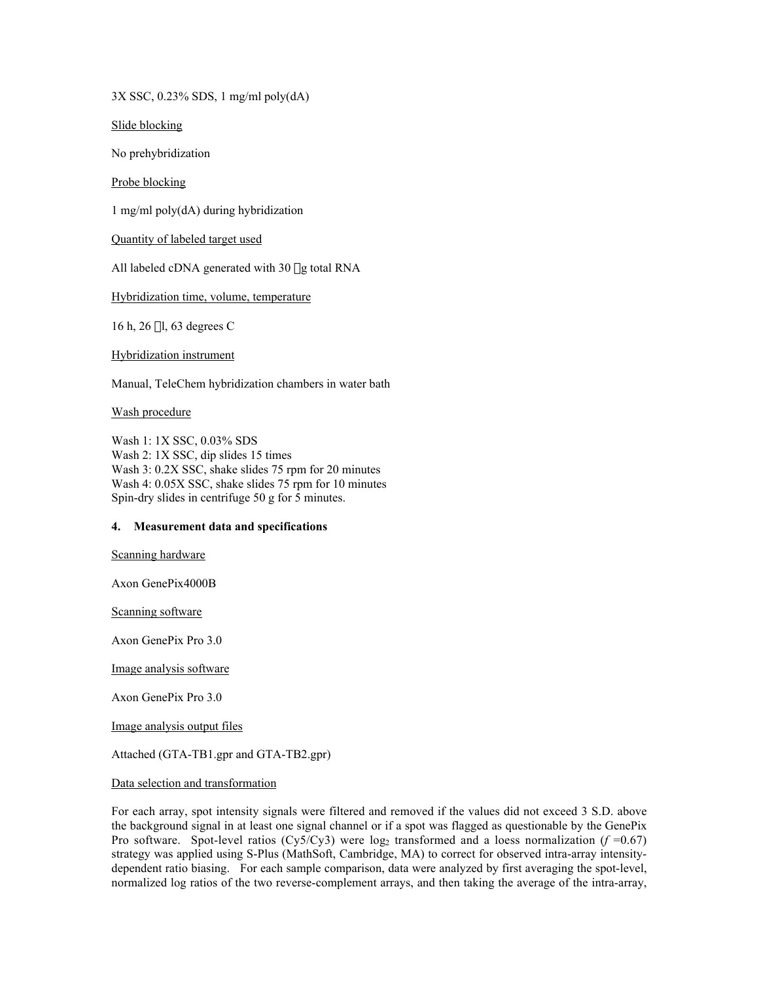3X SSC, 0.23% SDS, 1 mg/ml poly(dA)

Slide blocking

No prehybridization

Probe blocking

1 mg/ml poly(dA) during hybridization

Quantity of labeled target used

All labeled cDNA generated with 30 µg total RNA

Hybridization time, volume, temperature

16 h, 26 ml, 63 degrees C

Hybridization instrument

Manual, TeleChem hybridization chambers in water bath

Wash procedure

Wash 1: 1X SSC, 0.03% SDS Wash 2: 1X SSC, dip slides 15 times Wash 3: 0.2X SSC, shake slides 75 rpm for 20 minutes Wash 4: 0.05X SSC, shake slides 75 rpm for 10 minutes Spin-dry slides in centrifuge 50 g for 5 minutes.

## **4. Measurement data and specifications**

Scanning hardware

Axon GenePix4000B

Scanning software

Axon GenePix Pro 3.0

Image analysis software

Axon GenePix Pro 3.0

Image analysis output files

Attached (GTA-TB1.gpr and GTA-TB2.gpr)

#### Data selection and transformation

For each array, spot intensity signals were filtered and removed if the values did not exceed 3 S.D. above the background signal in at least one signal channel or if a spot was flagged as questionable by the GenePix Pro software. Spot-level ratios (Cy5/Cy3) were  $log_2$  transformed and a loess normalization ( $f = 0.67$ ) strategy was applied using S-Plus (MathSoft, Cambridge, MA) to correct for observed intra-array intensitydependent ratio biasing. For each sample comparison, data were analyzed by first averaging the spot-level, normalized log ratios of the two reverse-complement arrays, and then taking the average of the intra-array,